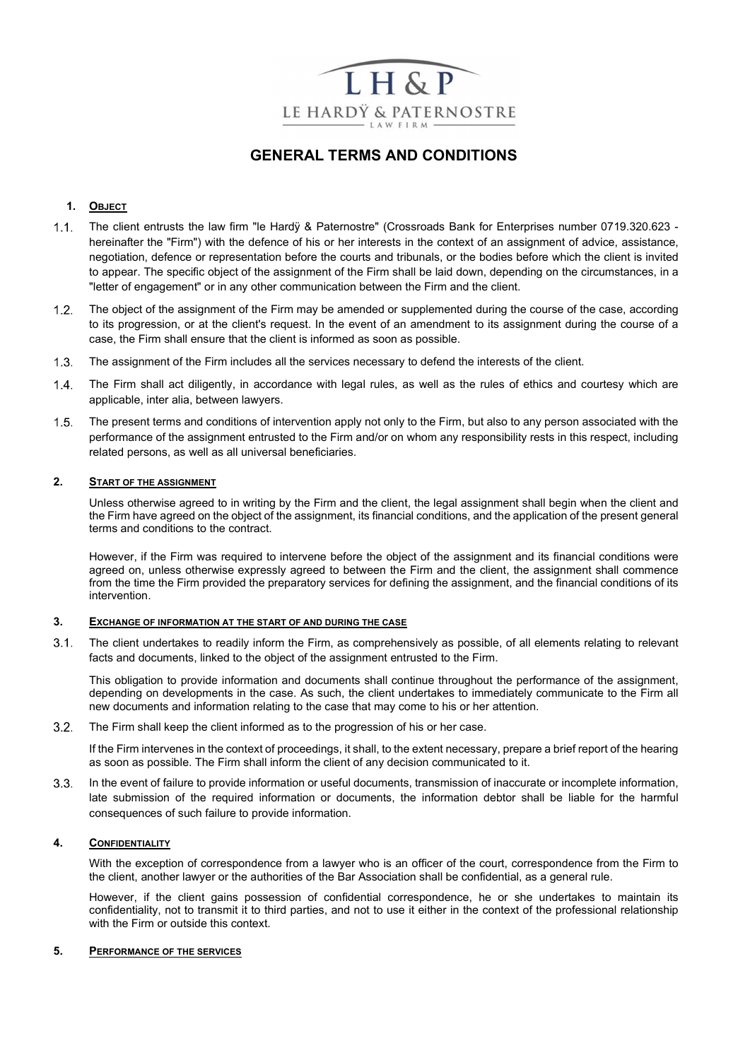

# GENERAL TERMS AND CONDITIONS

## 1. OBJECT

- 1.1. The client entrusts the law firm "le Hardy & Paternostre" (Crossroads Bank for Enterprises number 0719.320.623 hereinafter the "Firm") with the defence of his or her interests in the context of an assignment of advice, assistance, negotiation, defence or representation before the courts and tribunals, or the bodies before which the client is invited to appear. The specific object of the assignment of the Firm shall be laid down, depending on the circumstances, in a "letter of engagement" or in any other communication between the Firm and the client.
- 1.2. The object of the assignment of the Firm may be amended or supplemented during the course of the case, according to its progression, or at the client's request. In the event of an amendment to its assignment during the course of a case, the Firm shall ensure that the client is informed as soon as possible.
- 1.3. The assignment of the Firm includes all the services necessary to defend the interests of the client.
- The Firm shall act diligently, in accordance with legal rules, as well as the rules of ethics and courtesy which are applicable, inter alia, between lawyers.
- The present terms and conditions of intervention apply not only to the Firm, but also to any person associated with the performance of the assignment entrusted to the Firm and/or on whom any responsibility rests in this respect, including related persons, as well as all universal beneficiaries.

## 2. START OF THE ASSIGNMENT

Unless otherwise agreed to in writing by the Firm and the client, the legal assignment shall begin when the client and the Firm have agreed on the object of the assignment, its financial conditions, and the application of the present general terms and conditions to the contract.

However, if the Firm was required to intervene before the object of the assignment and its financial conditions were agreed on, unless otherwise expressly agreed to between the Firm and the client, the assignment shall commence from the time the Firm provided the preparatory services for defining the assignment, and the financial conditions of its intervention.

#### 3. EXCHANGE OF INFORMATION AT THE START OF AND DURING THE CASE

 The client undertakes to readily inform the Firm, as comprehensively as possible, of all elements relating to relevant facts and documents, linked to the object of the assignment entrusted to the Firm.

This obligation to provide information and documents shall continue throughout the performance of the assignment, depending on developments in the case. As such, the client undertakes to immediately communicate to the Firm all new documents and information relating to the case that may come to his or her attention.

The Firm shall keep the client informed as to the progression of his or her case.

If the Firm intervenes in the context of proceedings, it shall, to the extent necessary, prepare a brief report of the hearing as soon as possible. The Firm shall inform the client of any decision communicated to it.

 In the event of failure to provide information or useful documents, transmission of inaccurate or incomplete information, late submission of the required information or documents, the information debtor shall be liable for the harmful consequences of such failure to provide information.

## 4. CONFIDENTIALITY

With the exception of correspondence from a lawyer who is an officer of the court, correspondence from the Firm to the client, another lawyer or the authorities of the Bar Association shall be confidential, as a general rule.

However, if the client gains possession of confidential correspondence, he or she undertakes to maintain its confidentiality, not to transmit it to third parties, and not to use it either in the context of the professional relationship with the Firm or outside this context.

#### 5. PERFORMANCE OF THE SERVICES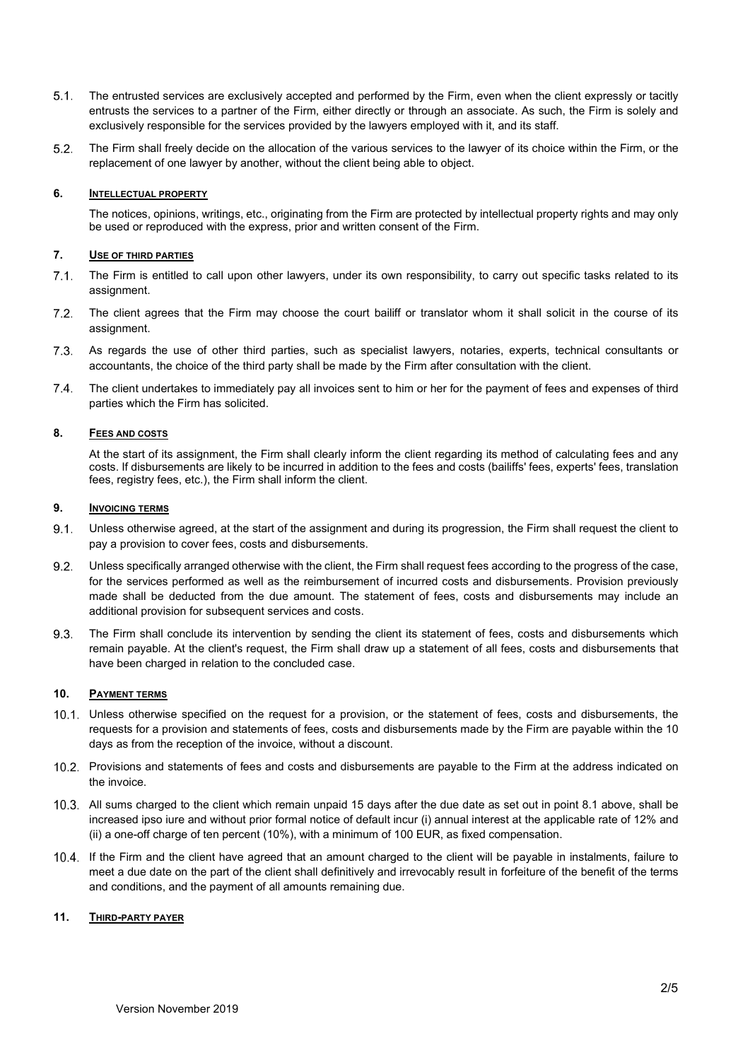- The entrusted services are exclusively accepted and performed by the Firm, even when the client expressly or tacitly entrusts the services to a partner of the Firm, either directly or through an associate. As such, the Firm is solely and exclusively responsible for the services provided by the lawyers employed with it, and its staff.
- The Firm shall freely decide on the allocation of the various services to the lawyer of its choice within the Firm, or the replacement of one lawyer by another, without the client being able to object.

## 6. INTELLECTUAL PROPERTY

The notices, opinions, writings, etc., originating from the Firm are protected by intellectual property rights and may only be used or reproduced with the express, prior and written consent of the Firm.

## 7. USE OF THIRD PARTIES

- The Firm is entitled to call upon other lawyers, under its own responsibility, to carry out specific tasks related to its assignment.
- The client agrees that the Firm may choose the court bailiff or translator whom it shall solicit in the course of its assignment.
- As regards the use of other third parties, such as specialist lawyers, notaries, experts, technical consultants or accountants, the choice of the third party shall be made by the Firm after consultation with the client.
- The client undertakes to immediately pay all invoices sent to him or her for the payment of fees and expenses of third parties which the Firm has solicited.

## 8. FEES AND COSTS

At the start of its assignment, the Firm shall clearly inform the client regarding its method of calculating fees and any costs. If disbursements are likely to be incurred in addition to the fees and costs (bailiffs' fees, experts' fees, translation fees, registry fees, etc.), the Firm shall inform the client.

### 9. INVOICING TERMS

- Unless otherwise agreed, at the start of the assignment and during its progression, the Firm shall request the client to pay a provision to cover fees, costs and disbursements.
- Unless specifically arranged otherwise with the client, the Firm shall request fees according to the progress of the case, for the services performed as well as the reimbursement of incurred costs and disbursements. Provision previously made shall be deducted from the due amount. The statement of fees, costs and disbursements may include an additional provision for subsequent services and costs.
- The Firm shall conclude its intervention by sending the client its statement of fees, costs and disbursements which remain payable. At the client's request, the Firm shall draw up a statement of all fees, costs and disbursements that have been charged in relation to the concluded case.

### 10. PAYMENT TERMS

- Unless otherwise specified on the request for a provision, or the statement of fees, costs and disbursements, the requests for a provision and statements of fees, costs and disbursements made by the Firm are payable within the 10 days as from the reception of the invoice, without a discount.
- 10.2. Provisions and statements of fees and costs and disbursements are payable to the Firm at the address indicated on the invoice.
- All sums charged to the client which remain unpaid 15 days after the due date as set out in point 8.1 above, shall be increased ipso iure and without prior formal notice of default incur (i) annual interest at the applicable rate of 12% and (ii) a one-off charge of ten percent (10%), with a minimum of 100 EUR, as fixed compensation.
- If the Firm and the client have agreed that an amount charged to the client will be payable in instalments, failure to meet a due date on the part of the client shall definitively and irrevocably result in forfeiture of the benefit of the terms and conditions, and the payment of all amounts remaining due.

## 11. THIRD-PARTY PAYER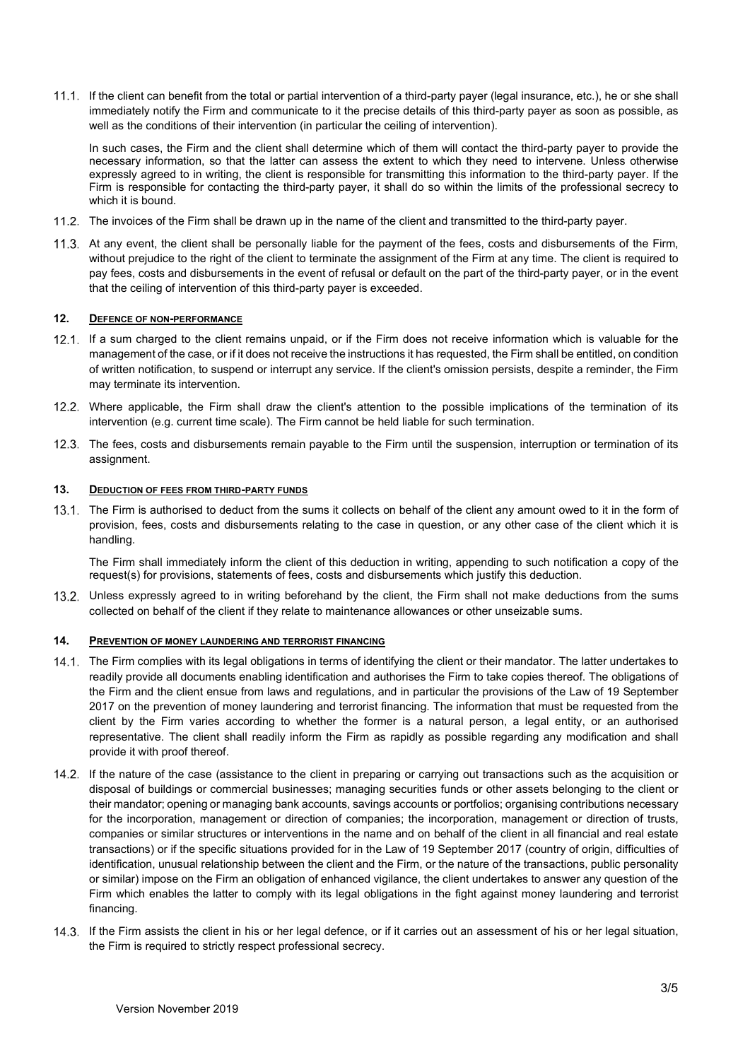If the client can benefit from the total or partial intervention of a third-party payer (legal insurance, etc.), he or she shall immediately notify the Firm and communicate to it the precise details of this third-party payer as soon as possible, as well as the conditions of their intervention (in particular the ceiling of intervention).

In such cases, the Firm and the client shall determine which of them will contact the third-party payer to provide the necessary information, so that the latter can assess the extent to which they need to intervene. Unless otherwise expressly agreed to in writing, the client is responsible for transmitting this information to the third-party payer. If the Firm is responsible for contacting the third-party payer, it shall do so within the limits of the professional secrecy to which it is bound.

- 11.2. The invoices of the Firm shall be drawn up in the name of the client and transmitted to the third-party payer.
- 11.3. At any event, the client shall be personally liable for the payment of the fees, costs and disbursements of the Firm, without prejudice to the right of the client to terminate the assignment of the Firm at any time. The client is required to pay fees, costs and disbursements in the event of refusal or default on the part of the third-party payer, or in the event that the ceiling of intervention of this third-party payer is exceeded.

## 12. DEFENCE OF NON-PERFORMANCE

- If a sum charged to the client remains unpaid, or if the Firm does not receive information which is valuable for the management of the case, or if it does not receive the instructions it has requested, the Firm shall be entitled, on condition of written notification, to suspend or interrupt any service. If the client's omission persists, despite a reminder, the Firm may terminate its intervention.
- Where applicable, the Firm shall draw the client's attention to the possible implications of the termination of its intervention (e.g. current time scale). The Firm cannot be held liable for such termination.
- The fees, costs and disbursements remain payable to the Firm until the suspension, interruption or termination of its assignment.

## 13. DEDUCTION OF FEES FROM THIRD-PARTY FUNDS

13.1. The Firm is authorised to deduct from the sums it collects on behalf of the client any amount owed to it in the form of provision, fees, costs and disbursements relating to the case in question, or any other case of the client which it is handling.

The Firm shall immediately inform the client of this deduction in writing, appending to such notification a copy of the request(s) for provisions, statements of fees, costs and disbursements which justify this deduction.

 Unless expressly agreed to in writing beforehand by the client, the Firm shall not make deductions from the sums collected on behalf of the client if they relate to maintenance allowances or other unseizable sums.

## 14. PREVENTION OF MONEY LAUNDERING AND TERRORIST FINANCING

- The Firm complies with its legal obligations in terms of identifying the client or their mandator. The latter undertakes to readily provide all documents enabling identification and authorises the Firm to take copies thereof. The obligations of the Firm and the client ensue from laws and regulations, and in particular the provisions of the Law of 19 September 2017 on the prevention of money laundering and terrorist financing. The information that must be requested from the client by the Firm varies according to whether the former is a natural person, a legal entity, or an authorised representative. The client shall readily inform the Firm as rapidly as possible regarding any modification and shall provide it with proof thereof.
- If the nature of the case (assistance to the client in preparing or carrying out transactions such as the acquisition or disposal of buildings or commercial businesses; managing securities funds or other assets belonging to the client or their mandator; opening or managing bank accounts, savings accounts or portfolios; organising contributions necessary for the incorporation, management or direction of companies; the incorporation, management or direction of trusts, companies or similar structures or interventions in the name and on behalf of the client in all financial and real estate transactions) or if the specific situations provided for in the Law of 19 September 2017 (country of origin, difficulties of identification, unusual relationship between the client and the Firm, or the nature of the transactions, public personality or similar) impose on the Firm an obligation of enhanced vigilance, the client undertakes to answer any question of the Firm which enables the latter to comply with its legal obligations in the fight against money laundering and terrorist financing.
- If the Firm assists the client in his or her legal defence, or if it carries out an assessment of his or her legal situation, the Firm is required to strictly respect professional secrecy.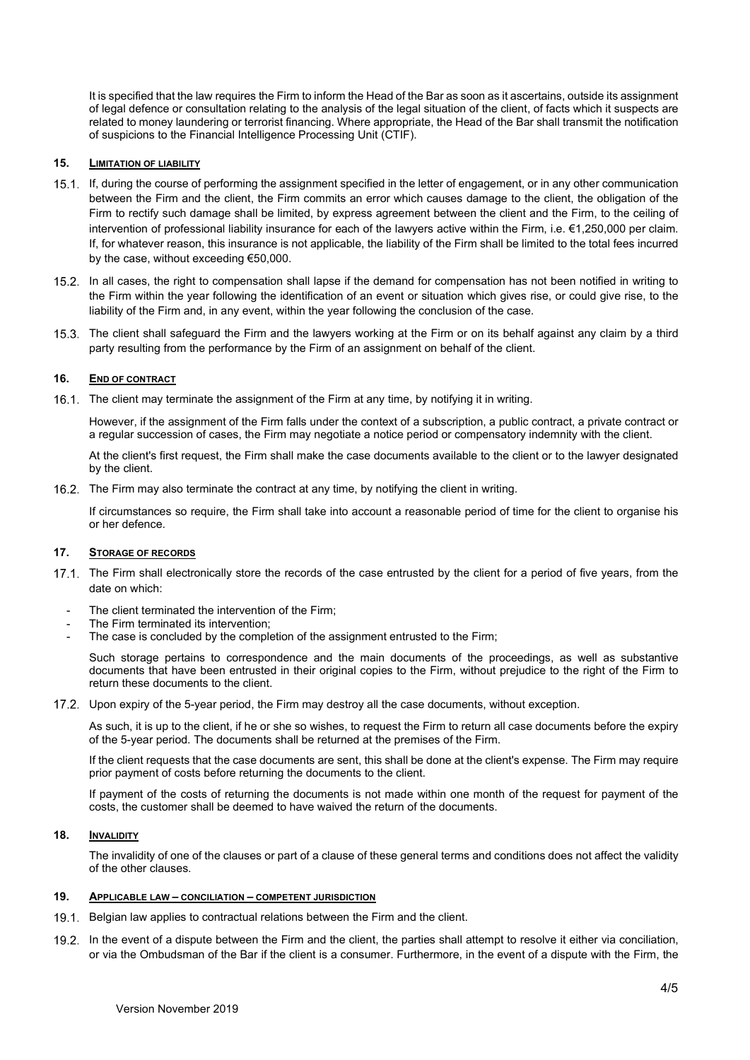It is specified that the law requires the Firm to inform the Head of the Bar as soon as it ascertains, outside its assignment of legal defence or consultation relating to the analysis of the legal situation of the client, of facts which it suspects are related to money laundering or terrorist financing. Where appropriate, the Head of the Bar shall transmit the notification of suspicions to the Financial Intelligence Processing Unit (CTIF).

## 15. LIMITATION OF LIABILITY

- If, during the course of performing the assignment specified in the letter of engagement, or in any other communication between the Firm and the client, the Firm commits an error which causes damage to the client, the obligation of the Firm to rectify such damage shall be limited, by express agreement between the client and the Firm, to the ceiling of intervention of professional liability insurance for each of the lawyers active within the Firm, i.e. €1,250,000 per claim. If, for whatever reason, this insurance is not applicable, the liability of the Firm shall be limited to the total fees incurred by the case, without exceeding €50,000.
- 15.2. In all cases, the right to compensation shall lapse if the demand for compensation has not been notified in writing to the Firm within the year following the identification of an event or situation which gives rise, or could give rise, to the liability of the Firm and, in any event, within the year following the conclusion of the case.
- The client shall safeguard the Firm and the lawyers working at the Firm or on its behalf against any claim by a third party resulting from the performance by the Firm of an assignment on behalf of the client.

## 16. END OF CONTRACT

16.1. The client may terminate the assignment of the Firm at any time, by notifying it in writing.

However, if the assignment of the Firm falls under the context of a subscription, a public contract, a private contract or a regular succession of cases, the Firm may negotiate a notice period or compensatory indemnity with the client.

At the client's first request, the Firm shall make the case documents available to the client or to the lawyer designated by the client.

16.2. The Firm may also terminate the contract at any time, by notifying the client in writing.

If circumstances so require, the Firm shall take into account a reasonable period of time for the client to organise his or her defence.

#### 17. STORAGE OF RECORDS

- 17.1. The Firm shall electronically store the records of the case entrusted by the client for a period of five years, from the date on which:
	- The client terminated the intervention of the Firm;
	- The Firm terminated its intervention;
	- The case is concluded by the completion of the assignment entrusted to the Firm;

Such storage pertains to correspondence and the main documents of the proceedings, as well as substantive documents that have been entrusted in their original copies to the Firm, without prejudice to the right of the Firm to return these documents to the client.

17.2. Upon expiry of the 5-year period, the Firm may destroy all the case documents, without exception.

As such, it is up to the client, if he or she so wishes, to request the Firm to return all case documents before the expiry of the 5-year period. The documents shall be returned at the premises of the Firm.

If the client requests that the case documents are sent, this shall be done at the client's expense. The Firm may require prior payment of costs before returning the documents to the client.

If payment of the costs of returning the documents is not made within one month of the request for payment of the costs, the customer shall be deemed to have waived the return of the documents.

## 18. INVALIDITY

The invalidity of one of the clauses or part of a clause of these general terms and conditions does not affect the validity of the other clauses.

#### 19. APPLICABLE LAW – CONCILIATION – COMPETENT JURISDICTION

- 19.1. Belgian law applies to contractual relations between the Firm and the client.
- In the event of a dispute between the Firm and the client, the parties shall attempt to resolve it either via conciliation, or via the Ombudsman of the Bar if the client is a consumer. Furthermore, in the event of a dispute with the Firm, the